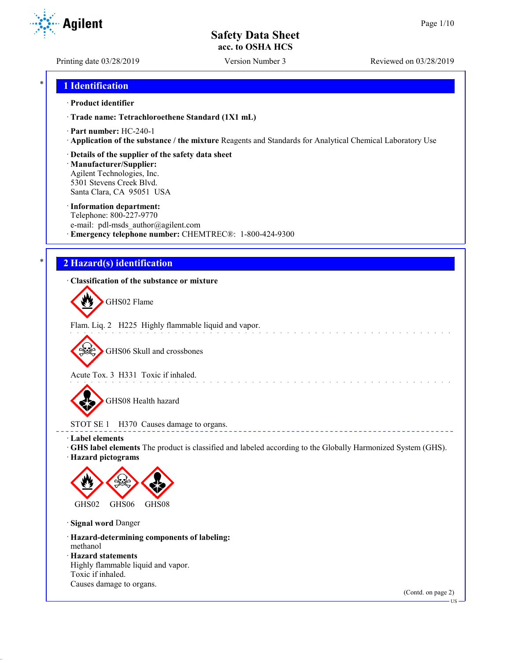**Agilent** 

Printing date 03/28/2019 Version Number 3 Reviewed on 03/28/2019

### \* **1 Identification**

#### · **Product identifier**

· **Trade name: Tetrachloroethene Standard (1X1 mL)**

- · **Part number:** HC-240-1
- · **Application of the substance / the mixture** Reagents and Standards for Analytical Chemical Laboratory Use

#### · **Details of the supplier of the safety data sheet**

· **Manufacturer/Supplier:** Agilent Technologies, Inc. 5301 Stevens Creek Blvd. Santa Clara, CA 95051 USA

#### · **Information department:**

Telephone: 800-227-9770 e-mail: pdl-msds author@agilent.com · **Emergency telephone number:** CHEMTREC®: 1-800-424-9300

### \* **2 Hazard(s) identification**

### · **Classification of the substance or mixture**

GHS02 Flame

Flam. Liq. 2 H225 Highly flammable liquid and vapor.

GHS06 Skull and crossbones

Acute Tox. 3 H331 Toxic if inhaled.

GHS08 Health hazard

## STOT SE 1 H370 Causes damage to organs.

· **Label elements**

· **GHS label elements** The product is classified and labeled according to the Globally Harmonized System (GHS).

and the state of the state of the

**ELECT** 

· **Hazard pictograms**



· **Signal word** Danger

· **Hazard-determining components of labeling:** methanol

- · **Hazard statements**
- Highly flammable liquid and vapor. Toxic if inhaled. Causes damage to organs.

(Contd. on page 2)

US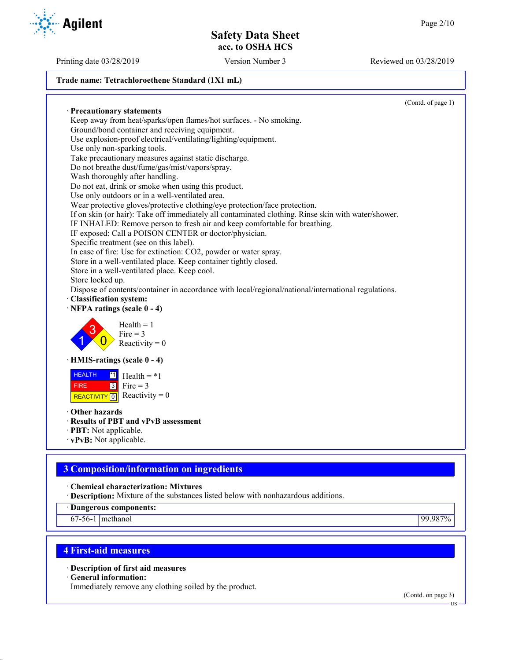Printing date 03/28/2019 Version Number 3 Reviewed on 03/28/2019

#### **Trade name: Tetrachloroethene Standard (1X1 mL)**

(Contd. of page 1) · **Precautionary statements** Keep away from heat/sparks/open flames/hot surfaces. - No smoking. Ground/bond container and receiving equipment. Use explosion-proof electrical/ventilating/lighting/equipment. Use only non-sparking tools. Take precautionary measures against static discharge. Do not breathe dust/fume/gas/mist/vapors/spray. Wash thoroughly after handling. Do not eat, drink or smoke when using this product. Use only outdoors or in a well-ventilated area. Wear protective gloves/protective clothing/eye protection/face protection. If on skin (or hair): Take off immediately all contaminated clothing. Rinse skin with water/shower. IF INHALED: Remove person to fresh air and keep comfortable for breathing. IF exposed: Call a POISON CENTER or doctor/physician. Specific treatment (see on this label). In case of fire: Use for extinction: CO2, powder or water spray. Store in a well-ventilated place. Keep container tightly closed. Store in a well-ventilated place. Keep cool. Store locked up. Dispose of contents/container in accordance with local/regional/national/international regulations. · **Classification system:** · **NFPA ratings (scale 0 - 4)** 1 3  $\overline{0}$  $Health = 1$  $Fire = 3$ Reactivity  $= 0$ · **HMIS-ratings (scale 0 - 4)** HEALTH FIRE REACTIVITY  $\boxed{0}$  Reactivity = 0  $\overline{1}$  Health = \*1  $3$  Fire = 3 · **Other hazards** · **Results of PBT and vPvB assessment** · **PBT:** Not applicable.

· **vPvB:** Not applicable.

# **3 Composition/information on ingredients**

· **Chemical characterization: Mixtures**

· **Description:** Mixture of the substances listed below with nonhazardous additions.

· **Dangerous components:**

67-56-1 methanol 99.987%

# **4 First-aid measures**

· **Description of first aid measures**

· **General information:**

Immediately remove any clothing soiled by the product.

(Contd. on page 3)



US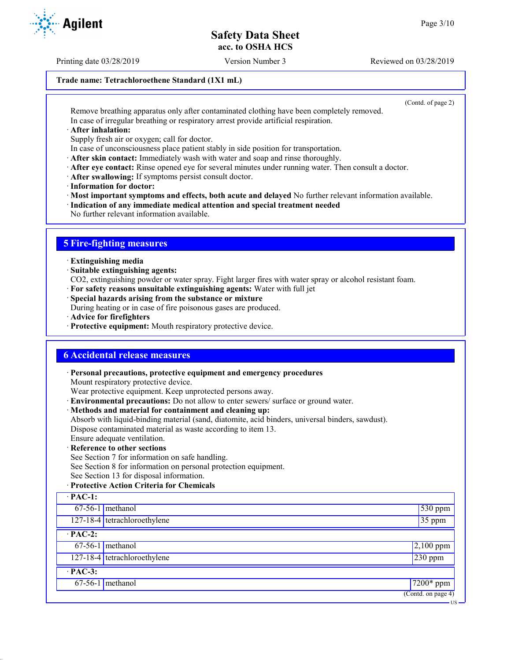Printing date 03/28/2019 Version Number 3 Reviewed on 03/28/2019

### **Trade name: Tetrachloroethene Standard (1X1 mL)**

(Contd. of page 2)

US

Remove breathing apparatus only after contaminated clothing have been completely removed. In case of irregular breathing or respiratory arrest provide artificial respiration.

· **After inhalation:**

Supply fresh air or oxygen; call for doctor.

- In case of unconsciousness place patient stably in side position for transportation.
- · **After skin contact:** Immediately wash with water and soap and rinse thoroughly.
- · **After eye contact:** Rinse opened eye for several minutes under running water. Then consult a doctor.
- · **After swallowing:** If symptoms persist consult doctor.
- · **Information for doctor:**

· **Most important symptoms and effects, both acute and delayed** No further relevant information available.

- · **Indication of any immediate medical attention and special treatment needed**
- No further relevant information available.

## **5 Fire-fighting measures**

- · **Extinguishing media**
- · **Suitable extinguishing agents:**
- CO2, extinguishing powder or water spray. Fight larger fires with water spray or alcohol resistant foam.
- · **For safety reasons unsuitable extinguishing agents:** Water with full jet
- · **Special hazards arising from the substance or mixture**

During heating or in case of fire poisonous gases are produced.

- · **Advice for firefighters**
- · **Protective equipment:** Mouth respiratory protective device.

### **6 Accidental release measures**

· **Personal precautions, protective equipment and emergency procedures**

Mount respiratory protective device.

Wear protective equipment. Keep unprotected persons away.

- · **Environmental precautions:** Do not allow to enter sewers/ surface or ground water.
- · **Methods and material for containment and cleaning up:**

Absorb with liquid-binding material (sand, diatomite, acid binders, universal binders, sawdust). Dispose contaminated material as waste according to item 13.

- Ensure adequate ventilation.
- · **Reference to other sections**

See Section 7 for information on safe handling.

See Section 8 for information on personal protection equipment.

See Section 13 for disposal information.

### · **Protective Action Criteria for Chemicals**

| $\cdot$ PAC-1: |                              |                                        |  |
|----------------|------------------------------|----------------------------------------|--|
|                | $67-56-1$ methanol           | $530$ ppm                              |  |
|                | 127-18-4 tetrachloroethylene | 35 ppm                                 |  |
| $\cdot$ PAC-2: |                              |                                        |  |
|                | $67-56-1$ methanol           | $2,100$ ppm                            |  |
|                | 127-18-4 tetrachloroethylene | $230$ ppm                              |  |
| $\cdot$ PAC-3: |                              |                                        |  |
|                | $67-56-1$ methanol           | $\sqrt{7200}$ ppm                      |  |
|                |                              | $\overline{(\text{Contd. on page 4})}$ |  |

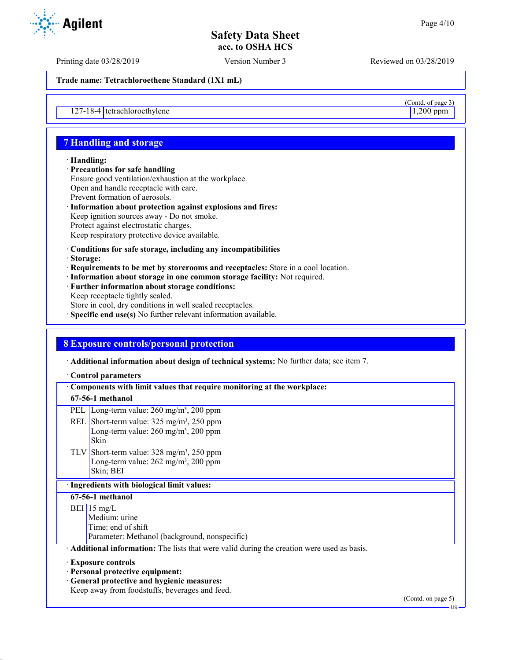$\frac{\text{(Contd. of page 3)}}{\text{1,200 ppm}}$ 

# **Safety Data Sheet acc. to OSHA HCS**

Printing date 03/28/2019 Version Number 3 Reviewed on 03/28/2019

**Trade name: Tetrachloroethene Standard (1X1 mL)**

 $127-18-4$  tetrachloroethylene

# **7 Handling and storage**

#### · **Handling:**

- · **Precautions for safe handling** Ensure good ventilation/exhaustion at the workplace. Open and handle receptacle with care. Prevent formation of aerosols. · **Information about protection against explosions and fires:**
- Keep ignition sources away Do not smoke. Protect against electrostatic charges. Keep respiratory protective device available.
- · **Conditions for safe storage, including any incompatibilities**
- · **Storage:**
- · **Requirements to be met by storerooms and receptacles:** Store in a cool location.
- · **Information about storage in one common storage facility:** Not required.
- · **Further information about storage conditions:** Keep receptacle tightly sealed.
- Store in cool, dry conditions in well sealed receptacles.
- · **Specific end use(s)** No further relevant information available.

### **8 Exposure controls/personal protection**

· **Additional information about design of technical systems:** No further data; see item 7.

#### · **Control parameters**

| Components with limit values that require monitoring at the workplace:                                                                                        |                    |  |
|---------------------------------------------------------------------------------------------------------------------------------------------------------------|--------------------|--|
| 67-56-1 methanol                                                                                                                                              |                    |  |
| Long-term value: $260 \text{ mg/m}^3$ , $200 \text{ ppm}$<br><b>PEL</b>                                                                                       |                    |  |
| REL Short-term value: 325 mg/m <sup>3</sup> , 250 ppm<br>Long-term value: 260 mg/m <sup>3</sup> , 200 ppm<br>Skin                                             |                    |  |
| TLV Short-term value: $328 \text{ mg/m}^3$ , $250 \text{ ppm}$<br>Long-term value: $262$ mg/m <sup>3</sup> , 200 ppm<br>Skin; BEI                             |                    |  |
| · Ingredients with biological limit values:                                                                                                                   |                    |  |
| 67-56-1 methanol                                                                                                                                              |                    |  |
| BEI 15 mg/L<br>Medium: urine<br>Time: end of shift<br>Parameter: Methanol (background, nonspecific)                                                           |                    |  |
| Additional information: The lists that were valid during the creation were used as basis.                                                                     |                    |  |
| <b>Exposure controls</b><br>· Personal protective equipment:<br>· General protective and hygienic measures:<br>Keep away from foodstuffs, beverages and feed. | (Contd. on page 5) |  |

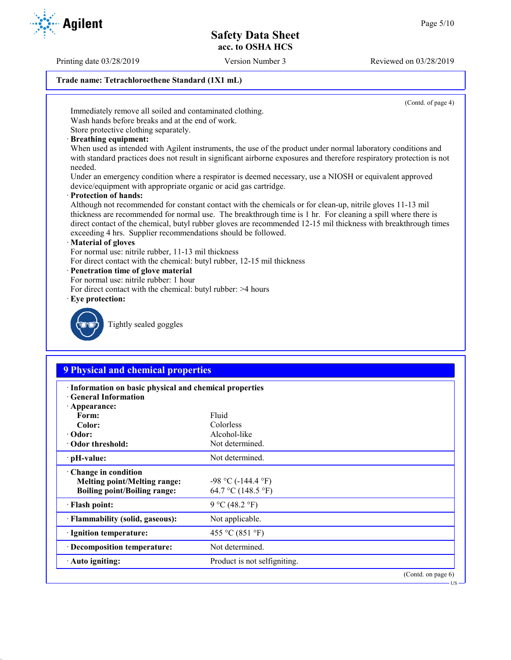Printing date 03/28/2019 Version Number 3 Reviewed on 03/28/2019

### **Trade name: Tetrachloroethene Standard (1X1 mL)**

(Contd. of page 4)

Immediately remove all soiled and contaminated clothing.

Wash hands before breaks and at the end of work. Store protective clothing separately.

· **Breathing equipment:**

When used as intended with Agilent instruments, the use of the product under normal laboratory conditions and with standard practices does not result in significant airborne exposures and therefore respiratory protection is not needed.

Under an emergency condition where a respirator is deemed necessary, use a NIOSH or equivalent approved device/equipment with appropriate organic or acid gas cartridge.

· **Protection of hands:**

Although not recommended for constant contact with the chemicals or for clean-up, nitrile gloves 11-13 mil thickness are recommended for normal use. The breakthrough time is 1 hr. For cleaning a spill where there is direct contact of the chemical, butyl rubber gloves are recommended 12-15 mil thickness with breakthrough times exceeding 4 hrs. Supplier recommendations should be followed.

### · **Material of gloves**

For normal use: nitrile rubber, 11-13 mil thickness

- For direct contact with the chemical: butyl rubber, 12-15 mil thickness
- · **Penetration time of glove material**
- For normal use: nitrile rubber: 1 hour
- For direct contact with the chemical: butyl rubber: >4 hours
- · **Eye protection:**



Tightly sealed goggles

# **9 Physical and chemical properties**

| · Information on basic physical and chemical properties<br><b>General Information</b>             |                                               |                    |  |  |
|---------------------------------------------------------------------------------------------------|-----------------------------------------------|--------------------|--|--|
| $\cdot$ Appearance:<br>Form:                                                                      | Fluid                                         |                    |  |  |
| Color:                                                                                            | Colorless                                     |                    |  |  |
| $\cdot$ Odor:                                                                                     | Alcohol-like                                  |                    |  |  |
| Odor threshold:                                                                                   | Not determined.                               |                    |  |  |
| $\cdot$ pH-value:                                                                                 | Not determined.                               |                    |  |  |
| Change in condition<br><b>Melting point/Melting range:</b><br><b>Boiling point/Boiling range:</b> | $-98$ °C ( $-144.4$ °F)<br>64.7 °C (148.5 °F) |                    |  |  |
| · Flash point:                                                                                    | 9 °C (48.2 °F)                                |                    |  |  |
| · Flammability (solid, gaseous):                                                                  | Not applicable.                               |                    |  |  |
| · Ignition temperature:                                                                           | 455 °C (851 °F)                               |                    |  |  |
| · Decomposition temperature:                                                                      | Not determined.                               |                    |  |  |
| · Auto igniting:                                                                                  | Product is not selfigniting.                  |                    |  |  |
|                                                                                                   |                                               | (Contd. on page 6) |  |  |



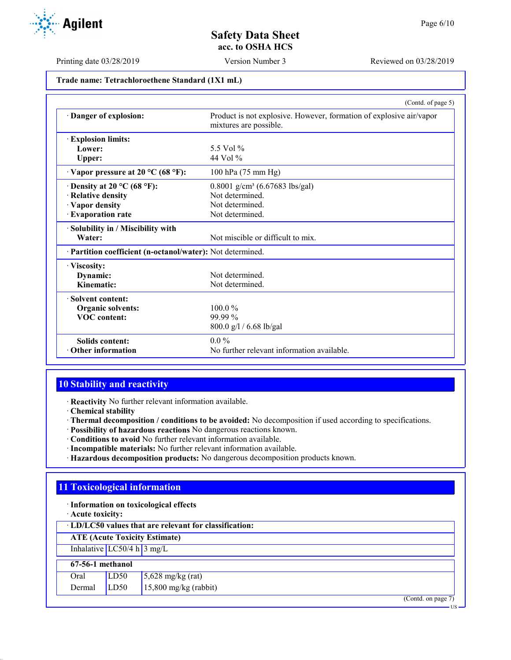Printing date 03/28/2019 Version Number 3 Reviewed on 03/28/2019

#### **Trade name: Tetrachloroethene Standard (1X1 mL)**

|                                                            | (Contd. of page 5)                                                                            |
|------------------------------------------------------------|-----------------------------------------------------------------------------------------------|
| Danger of explosion:                                       | Product is not explosive. However, formation of explosive air/vapor<br>mixtures are possible. |
| <b>Explosion limits:</b>                                   |                                                                                               |
| Lower:                                                     | 5.5 Vol %                                                                                     |
| Upper:                                                     | 44 Vol %                                                                                      |
| $\cdot$ Vapor pressure at 20 °C (68 °F):                   | 100 hPa (75 mm Hg)                                                                            |
| $\cdot$ Density at 20 °C (68 °F):                          | 0.8001 g/cm <sup>3</sup> (6.67683 lbs/gal)                                                    |
| · Relative density                                         | Not determined.                                                                               |
| · Vapor density                                            | Not determined.                                                                               |
| · Evaporation rate                                         | Not determined.                                                                               |
| · Solubility in / Miscibility with                         |                                                                                               |
| Water:                                                     | Not miscible or difficult to mix.                                                             |
| · Partition coefficient (n-octanol/water): Not determined. |                                                                                               |
| · Viscosity:                                               |                                                                                               |
| Dynamic:                                                   | Not determined.                                                                               |
| Kinematic:                                                 | Not determined.                                                                               |
| · Solvent content:                                         |                                                                                               |
| Organic solvents:                                          | $100.0\%$                                                                                     |
| <b>VOC</b> content:                                        | 99.99 %                                                                                       |
|                                                            | 800.0 g/l / 6.68 lb/gal                                                                       |
| <b>Solids content:</b>                                     | $0.0\%$                                                                                       |
| Other information                                          | No further relevant information available.                                                    |

### **10 Stability and reactivity**

· **Reactivity** No further relevant information available.

- · **Chemical stability**
- · **Thermal decomposition / conditions to be avoided:** No decomposition if used according to specifications.
- · **Possibility of hazardous reactions** No dangerous reactions known.
- · **Conditions to avoid** No further relevant information available.
- · **Incompatible materials:** No further relevant information available.
- · **Hazardous decomposition products:** No dangerous decomposition products known.

# **11 Toxicological information**

- · **Information on toxicological effects**
- · **Acute toxicity:**

· **LD/LC50 values that are relevant for classification:**

**ATE (Acute Toxicity Estimate)**

Inhalative  $LC50/4$  h  $3$  mg/L

#### **67-56-1 methanol** Oral  $\overline{L}$  LD50 5,628 mg/kg (rat)

| $\cdots$ |      | $1,000$ in $5,00$       |
|----------|------|-------------------------|
| Dermal   | LD50 | $15,800$ mg/kg (rabbit) |

(Contd. on page 7)

US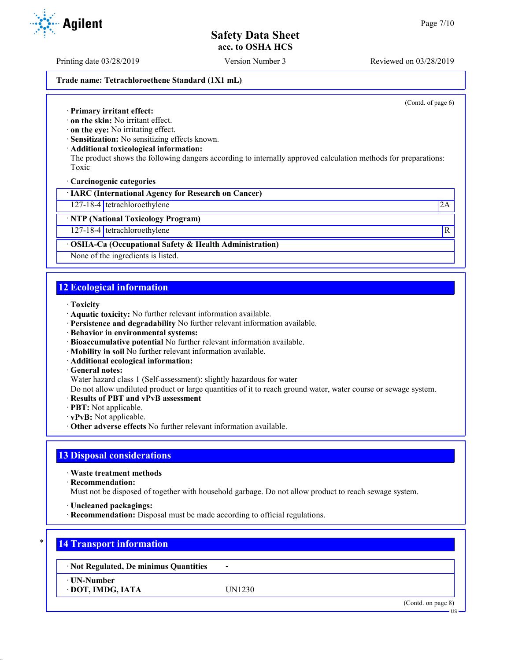Printing date 03/28/2019 Version Number 3 Reviewed on 03/28/2019

#### **Trade name: Tetrachloroethene Standard (1X1 mL)**

(Contd. of page 6)

· **Primary irritant effect:**

· **on the skin:** No irritant effect.

· **on the eye:** No irritating effect.

· **Sensitization:** No sensitizing effects known.

· **Additional toxicological information:**

The product shows the following dangers according to internally approved calculation methods for preparations: Toxic

· **Carcinogenic categories**

· **IARC (International Agency for Research on Cancer)**

127-18-4 tetrachloroethylene 2A

· **NTP (National Toxicology Program)**

127-18-4 tetrachloroethylene R

### · **OSHA-Ca (Occupational Safety & Health Administration)**

None of the ingredients is listed.

### **12 Ecological information**

- · **Toxicity**
- · **Aquatic toxicity:** No further relevant information available.
- · **Persistence and degradability** No further relevant information available.
- · **Behavior in environmental systems:**
- · **Bioaccumulative potential** No further relevant information available.
- · **Mobility in soil** No further relevant information available.
- · **Additional ecological information:**
- · **General notes:**

Water hazard class 1 (Self-assessment): slightly hazardous for water

Do not allow undiluted product or large quantities of it to reach ground water, water course or sewage system.

- · **Results of PBT and vPvB assessment**
- · **PBT:** Not applicable.
- · **vPvB:** Not applicable.
- · **Other adverse effects** No further relevant information available.

### **13 Disposal considerations**

· **Waste treatment methods**

· **Recommendation:**

Must not be disposed of together with household garbage. Do not allow product to reach sewage system.

· **Uncleaned packagings:**

· **Recommendation:** Disposal must be made according to official regulations.

# \* **14 Transport information**

· **Not Regulated, De minimus Quantities** -

· **UN-Number**

· **DOT, IMDG, IATA** UN1230

(Contd. on page 8)

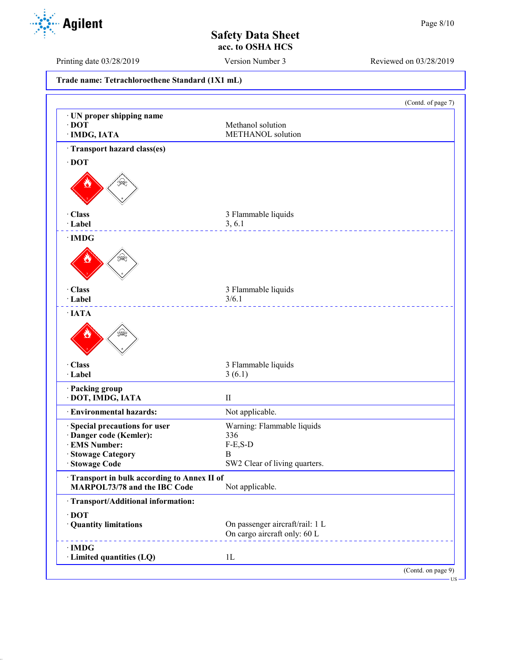US

**Safety Data Sheet acc. to OSHA HCS**

Printing date 03/28/2019 Version Number 3 Reviewed on 03/28/2019

**Trade name: Tetrachloroethene Standard (1X1 mL)** (Contd. of page 7) · **UN proper shipping name** · **DOT** Methanol solution · **IMDG, IATA** METHANOL solution · **Transport hazard class(es)** · **DOT** · **Class** 3 Flammable liquids · **Label** 3, 6.1 \_\_\_\_\_\_\_\_\_\_\_\_\_\_\_\_\_ · **IMDG** · **Class** 3 Flammable liquids · **Label** 3/6.1 \_\_\_\_\_\_\_\_\_\_\_\_\_ · **IATA** · **Class** 3 Flammable liquids · **Label** 3 (6.1) · **Packing group** · **DOT, IMDG, IATA** II · **Environmental hazards:** Not applicable. · **Special precautions for user** Warning: Flammable liquids · **Danger code (Kemler):** 336  $\cdot$  **EMS Number:** · **Stowage Category** B SW2 Clear of living quarters. · **Transport in bulk according to Annex II of MARPOL73/78 and the IBC Code** Not applicable. · **Transport/Additional information:** · **DOT** · **Quantity limitations** On passenger aircraft/rail: 1 L On cargo aircraft only: 60 L · **IMDG** · **Limited quantities (LQ)** 1L (Contd. on page 9)

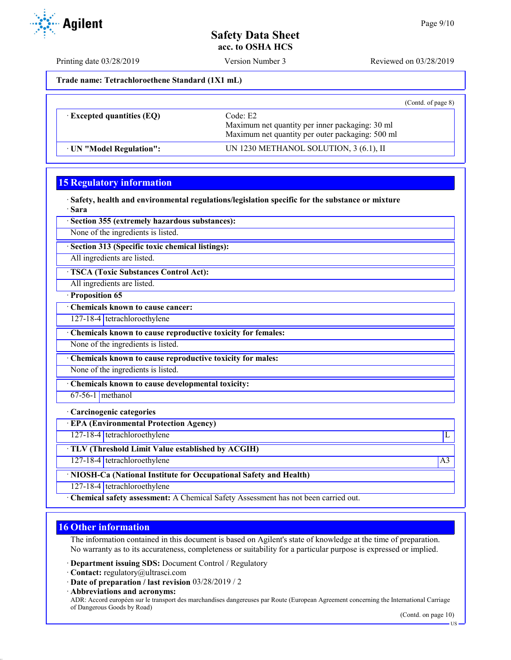Printing date 03/28/2019 Version Number 3 Reviewed on 03/28/2019

**Trade name: Tetrachloroethene Standard (1X1 mL)**

|                                  |                                                                                                                 | (Contd. of page $8$ ) |
|----------------------------------|-----------------------------------------------------------------------------------------------------------------|-----------------------|
| $\cdot$ Excepted quantities (EQ) | Code: E2<br>Maximum net quantity per inner packaging: 30 ml<br>Maximum net quantity per outer packaging: 500 ml |                       |
| · UN "Model Regulation":         | UN 1230 METHANOL SOLUTION, 3 (6.1), II                                                                          |                       |

# **15 Regulatory information**

· **Safety, health and environmental regulations/legislation specific for the substance or mixture** · **Sara**

· **Section 355 (extremely hazardous substances):**

None of the ingredients is listed.

· **Section 313 (Specific toxic chemical listings):**

All ingredients are listed.

· **TSCA (Toxic Substances Control Act):**

All ingredients are listed.

· **Proposition 65**

· **Chemicals known to cause cancer:**

127-18-4 tetrachloroethylene

· **Chemicals known to cause reproductive toxicity for females:**

None of the ingredients is listed.

· **Chemicals known to cause reproductive toxicity for males:**

None of the ingredients is listed.

· **Chemicals known to cause developmental toxicity:**

 $67-56-1$  methanol

· **Carcinogenic categories**

· **EPA (Environmental Protection Agency)**

127-18-4 tetrachloroethylene L

· **TLV (Threshold Limit Value established by ACGIH)**

127-18-4 tetrachloroethylene A3

· **NIOSH-Ca (National Institute for Occupational Safety and Health)**

127-18-4 tetrachloroethylene

· **Chemical safety assessment:** A Chemical Safety Assessment has not been carried out.

# **16 Other information**

The information contained in this document is based on Agilent's state of knowledge at the time of preparation. No warranty as to its accurateness, completeness or suitability for a particular purpose is expressed or implied.

· **Department issuing SDS:** Document Control / Regulatory

· **Contact:** regulatory@ultrasci.com

· **Date of preparation / last revision** 03/28/2019 / 2

· **Abbreviations and acronyms:** ADR: Accord européen sur le transport des marchandises dangereuses par Route (European Agreement concerning the International Carriage of Dangerous Goods by Road)

**Agilent**